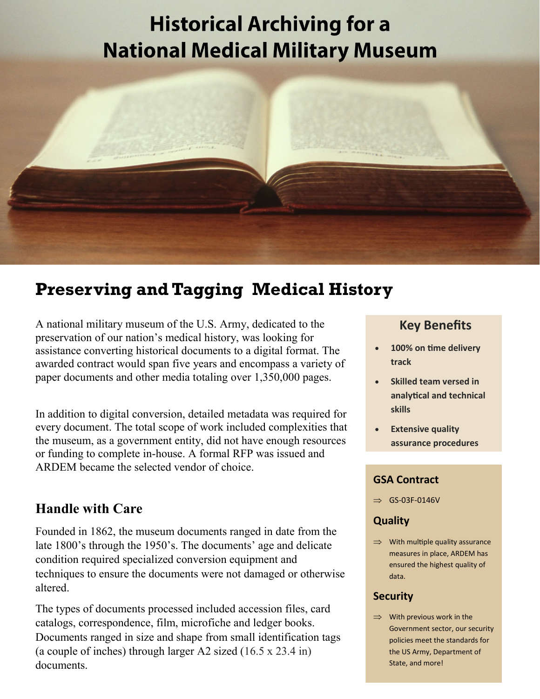# **Historical Archiving for a National Medical Military Museum**



## **Preserving and Tagging Medical History**

A national military museum of the U.S. Army, dedicated to the preservation of our nation's medical history, was looking for assistance converting historical documents to a digital format. The awarded contract would span five years and encompass a variety of paper documents and other media totaling over 1,350,000 pages.

In addition to digital conversion, detailed metadata was required for every document. The total scope of work included complexities that the museum, as a government entity, did not have enough resources or funding to complete in-house. A formal RFP was issued and ARDEM became the selected vendor of choice.

## **Handle with Care**

Founded in 1862, the museum documents ranged in date from the late 1800's through the 1950's. The documents' age and delicate condition required specialized conversion equipment and techniques to ensure the documents were not damaged or otherwise altered.

The types of documents processed included accession files, card catalogs, correspondence, film, microfiche and ledger books. Documents ranged in size and shape from small identification tags (a couple of inches) through larger A2 sized (16.5 x 23.4 in) documents.

## **Key Benefits**

- **100% on time delivery Automate? Ask track**
- Skilled team versed in er is the skills when the skills when the skills when the skills when the skills when the skills when the skills  $\sim$ **analytical and technical**
- **•** Extensive quality assurance procedures  $t$  absolute the procedure

place and put it in

## **GSA Contract**

 $\Rightarrow$  GS-03F-0146V

#### **People to check the check of the check**  $\sim$ and  $\boldsymbol{\zeta}$

 $\Rightarrow$  With multiple quality assurance measures in place, ARDEM has ensured the highest quality of data.

#### **• Security Security** people to manually

 $\Rightarrow$  With previous work in the Government sector, our security policies meet the standards for the US Army, Department of State, and more!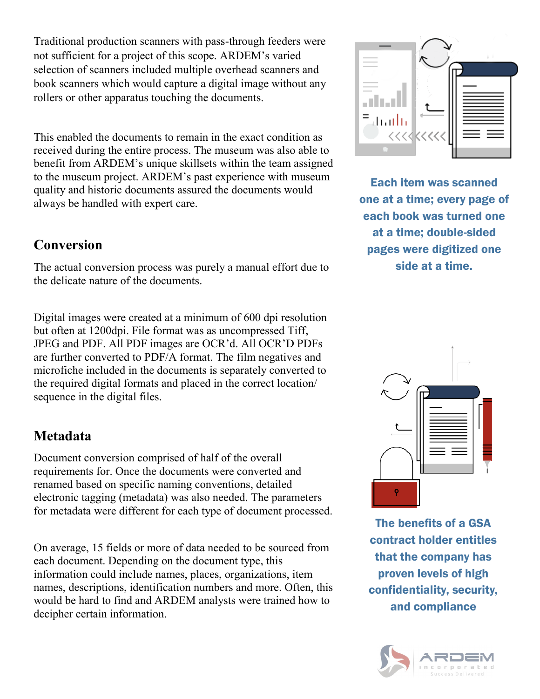Traditional production scanners with pass-through feeders were not sufficient for a project of this scope. ARDEM's varied selection of scanners included multiple overhead scanners and book scanners which would capture a digital image without any rollers or other apparatus touching the documents.

This enabled the documents to remain in the exact condition as received during the entire process. The museum was also able to benefit from ARDEM's unique skillsets within the team assigned to the museum project. ARDEM's past experience with museum quality and historic documents assured the documents would always be handled with expert care.

## **Conversion**

The actual conversion process was purely a manual effort due to the delicate nature of the documents.

Digital images were created at a minimum of 600 dpi resolution but often at 1200dpi. File format was as uncompressed Tiff, JPEG and PDF. All PDF images are OCR'd. All OCR'D PDFs are further converted to PDF/A format. The film negatives and microfiche included in the documents is separately converted to the required digital formats and placed in the correct location/ sequence in the digital files.

## **Metadata**

Document conversion comprised of half of the overall requirements for. Once the documents were converted and renamed based on specific naming conventions, detailed electronic tagging (metadata) was also needed. The parameters for metadata were different for each type of document processed.

On average, 15 fields or more of data needed to be sourced from each document. Depending on the document type, this information could include names, places, organizations, item names, descriptions, identification numbers and more. Often, this would be hard to find and ARDEM analysts were trained how to decipher certain information.



Each item was scanned one at a time; every page of each book was turned one at a time; double-sided pages were digitized one side at a time.



The benefits of a GSA contract holder entitles that the company has proven levels of high confidentiality, security, and compliance